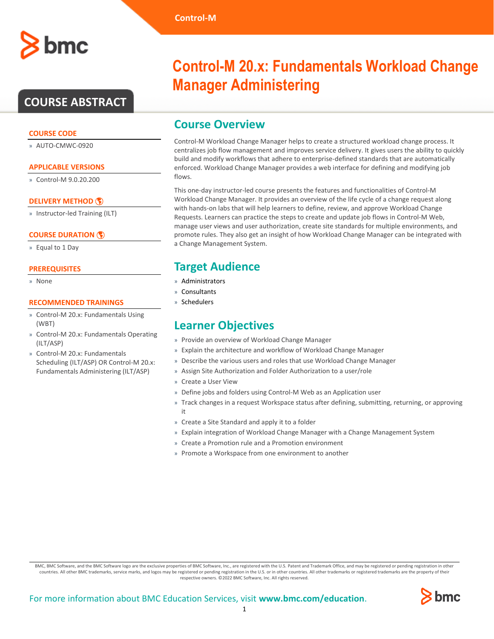## **COURSE ABSTRACT**

#### **COURSE CODE**

» AUTO-CMWC-0920

#### **APPLICABLE VERSIONS**

» Control-M 9.0.20.200

#### **[DELIVERY METHOD](http://www.bmc.com/education/modality.html)**

» Instructor-led Training (ILT)

#### **[COURSE DURATION](http://www.bmc.com/education/learning-paths/education-filters-learning-paths.html)**

» Equal to 1 Day

#### **PREREQUISITES**

» None

#### **RECOMMENDED TRAININGS**

- » Control-M 20.x: Fundamentals Using (WBT)
- » Control-M 20.x: Fundamentals Operating (ILT/ASP)
- » Control-M 20.x: Fundamentals Scheduling (ILT/ASP) OR Control-M 20.x: Fundamentals Administering (ILT/ASP)

# **Control-M 20.x: Fundamentals Workload Change Manager Administering**

### **Course Overview**

Control-M Workload Change Manager helps to create a structured workload change process. It centralizes job flow management and improves service delivery. It gives users the ability to quickly build and modify workflows that adhere to enterprise-defined standards that are automatically enforced. Workload Change Manager provides a web interface for defining and modifying job flows.

This one-day instructor-led course presents the features and functionalities of Control-M Workload Change Manager. It provides an overview of the life cycle of a change request along with hands-on labs that will help learners to define, review, and approve Workload Change Requests. Learners can practice the steps to create and update job flows in Control-M Web, manage user views and user authorization, create site standards for multiple environments, and promote rules. They also get an insight of how Workload Change Manager can be integrated with a Change Management System.

## **Target Audience**

- » Administrators
- » Consultants
- » Schedulers

### **Learner Objectives**

- » Provide an overview of Workload Change Manager
- » Explain the architecture and workflow of Workload Change Manager
- » Describe the various users and roles that use Workload Change Manager
- » Assign Site Authorization and Folder Authorization to a user/role
- » Create a User View
- » Define jobs and folders using Control-M Web as an Application user
- » Track changes in a request Workspace status after defining, submitting, returning, or approving it
- » Create a Site Standard and apply it to a folder
- » Explain integration of Workload Change Manager with a Change Management System
- » Create a Promotion rule and a Promotion environment
- » Promote a Workspace from one environment to another

BMC, BMC Software, and the BMC Software logo are the exclusive properties of BMC Software, Inc., are registered with the U.S. Patent and Trademark Office, and may be registered or pending registration in other countries. All other BMC trademarks, service marks, and logos may be registered or pending registration in the U.S. or in other countries. All other trademarks or registered trademarks are the property of their respective owners. ©2022 BMC Software, Inc. All rights reserved.